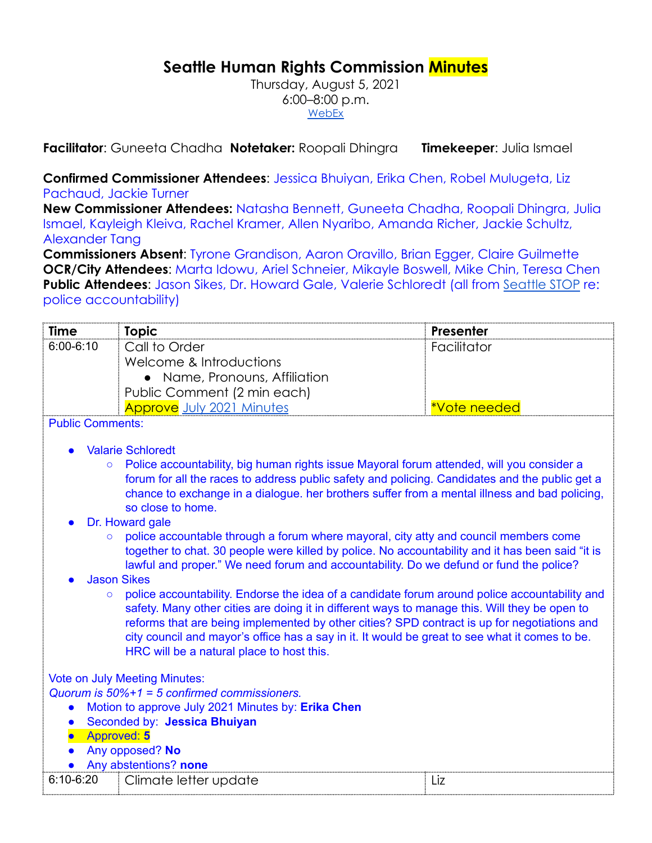## **Seattle Human Rights Commission Minutes**

Thursday, August 5, 2021 6:00–8:00 p.m. [WebEx](https://www.seattle.gov/humanrights/calendar)

**Facilitator**: Guneeta Chadha **Notetaker:** Roopali Dhingra **Timekeeper**: Julia Ismael

**Confirmed Commissioner Attendees**: Jessica Bhuiyan, Erika Chen, Robel Mulugeta, Liz Pachaud, Jackie Turner

**New Commissioner Attendees:** Natasha Bennett, Guneeta Chadha, Roopali Dhingra, Julia Ismael, Kayleigh Kleiva, Rachel Kramer, Allen Nyaribo, Amanda Richer, Jackie Schultz, Alexander Tang

**Commissioners Absent**: Tyrone Grandison, Aaron Oravillo, Brian Egger, Claire Guilmette **OCR/City Attendees**: Marta Idowu, Ariel Schneier, Mikayle Boswell, Mike Chin, Teresa Chen **Public Attendees**: Jason Sikes, Dr. Howard Gale, Valerie Schloredt (all from [Seattle STOP](https://www.seattlestop.org) re: police accountability)

| <b>Time</b>                                        | <b>Topic</b>                                                                                                                                                                                        | Presenter    |  |  |  |
|----------------------------------------------------|-----------------------------------------------------------------------------------------------------------------------------------------------------------------------------------------------------|--------------|--|--|--|
| $6:00 - 6:10$                                      | Call to Order                                                                                                                                                                                       | Facilitator  |  |  |  |
|                                                    | Welcome & Introductions                                                                                                                                                                             |              |  |  |  |
|                                                    | • Name, Pronouns, Affiliation                                                                                                                                                                       |              |  |  |  |
|                                                    | Public Comment (2 min each)                                                                                                                                                                         |              |  |  |  |
|                                                    | <b>Approve</b> July 2021 Minutes                                                                                                                                                                    | *Vote needed |  |  |  |
| <b>Public Comments:</b>                            |                                                                                                                                                                                                     |              |  |  |  |
|                                                    | <b>Valarie Schloredt</b>                                                                                                                                                                            |              |  |  |  |
| $\circ$                                            | Police accountability, big human rights issue Mayoral forum attended, will you consider a                                                                                                           |              |  |  |  |
|                                                    | forum for all the races to address public safety and policing. Candidates and the public get a                                                                                                      |              |  |  |  |
|                                                    | chance to exchange in a dialogue. her brothers suffer from a mental illness and bad policing,                                                                                                       |              |  |  |  |
|                                                    | so close to home.                                                                                                                                                                                   |              |  |  |  |
|                                                    | Dr. Howard gale                                                                                                                                                                                     |              |  |  |  |
|                                                    | police accountable through a forum where mayoral, city atty and council members come<br>$\circ$<br>together to chat. 30 people were killed by police. No accountability and it has been said "it is |              |  |  |  |
|                                                    | lawful and proper." We need forum and accountability. Do we defund or fund the police?                                                                                                              |              |  |  |  |
| <b>Jason Sikes</b>                                 |                                                                                                                                                                                                     |              |  |  |  |
| $\circ$                                            | police accountability. Endorse the idea of a candidate forum around police accountability and                                                                                                       |              |  |  |  |
|                                                    | safety. Many other cities are doing it in different ways to manage this. Will they be open to                                                                                                       |              |  |  |  |
|                                                    | reforms that are being implemented by other cities? SPD contract is up for negotiations and                                                                                                         |              |  |  |  |
|                                                    | city council and mayor's office has a say in it. It would be great to see what it comes to be.                                                                                                      |              |  |  |  |
|                                                    | HRC will be a natural place to host this.                                                                                                                                                           |              |  |  |  |
| <b>Vote on July Meeting Minutes:</b>               |                                                                                                                                                                                                     |              |  |  |  |
| Quorum is $50\% + 1 = 5$ confirmed commissioners.  |                                                                                                                                                                                                     |              |  |  |  |
| Motion to approve July 2021 Minutes by: Erika Chen |                                                                                                                                                                                                     |              |  |  |  |
| Seconded by: Jessica Bhuiyan<br>$\bullet$          |                                                                                                                                                                                                     |              |  |  |  |
| <b>Approved: 5</b>                                 |                                                                                                                                                                                                     |              |  |  |  |
| Any opposed? No<br>Any abstentions? none           |                                                                                                                                                                                                     |              |  |  |  |
| $6:10-6:20$                                        |                                                                                                                                                                                                     |              |  |  |  |
|                                                    | Climate letter update                                                                                                                                                                               | Liz          |  |  |  |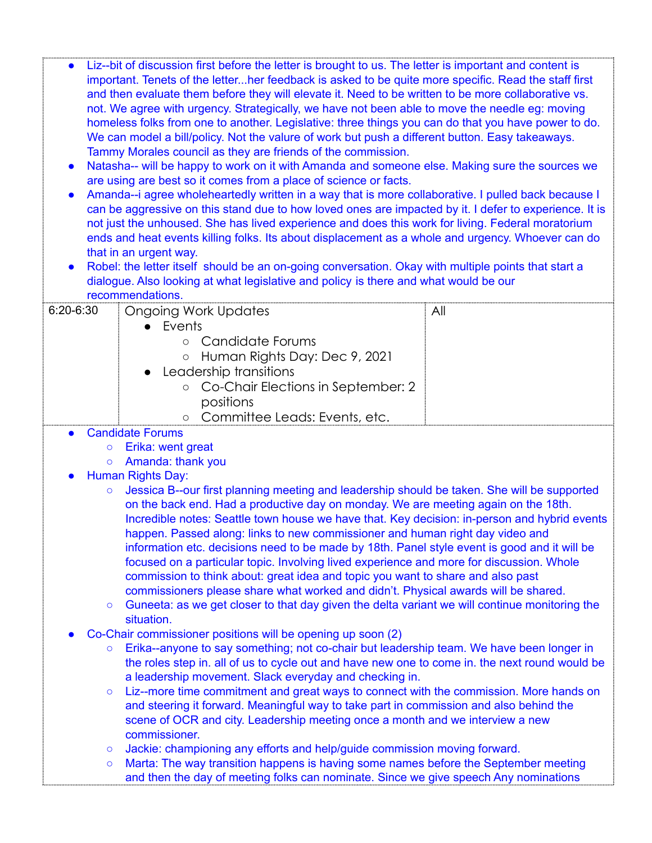- Liz--bit of discussion first before the letter is brought to us. The letter is important and content is important. Tenets of the letter...her feedback is asked to be quite more specific. Read the staff first and then evaluate them before they will elevate it. Need to be written to be more collaborative vs. not. We agree with urgency. Strategically, we have not been able to move the needle eg: moving homeless folks from one to another. Legislative: three things you can do that you have power to do. We can model a bill/policy. Not the valure of work but push a different button. Easy takeaways. Tammy Morales council as they are friends of the commission.
- Natasha-- will be happy to work on it with Amanda and someone else. Making sure the sources we are using are best so it comes from a place of science or facts.
- Amanda--i agree wholeheartedly written in a way that is more collaborative. I pulled back because I can be aggressive on this stand due to how loved ones are impacted by it. I defer to experience. It is not just the unhoused. She has lived experience and does this work for living. Federal moratorium ends and heat events killing folks. Its about displacement as a whole and urgency. Whoever can do that in an urgent way.
- Robel: the letter itself should be an on-going conversation. Okay with multiple points that start a dialogue. Also looking at what legislative and policy is there and what would be our recommendations.

| $6:20 - 6:30$                                                                                          | Ongoing Work Updates                                                                                     | All |  |  |
|--------------------------------------------------------------------------------------------------------|----------------------------------------------------------------------------------------------------------|-----|--|--|
|                                                                                                        | • Events                                                                                                 |     |  |  |
|                                                                                                        | Candidate Forums<br>$\circ$                                                                              |     |  |  |
|                                                                                                        | Human Rights Day: Dec 9, 2021<br>$\bigcirc$                                                              |     |  |  |
|                                                                                                        | Leadership transitions                                                                                   |     |  |  |
|                                                                                                        | Co-Chair Elections in September: 2                                                                       |     |  |  |
|                                                                                                        | positions                                                                                                |     |  |  |
|                                                                                                        | Committee Leads: Events, etc.<br>$\circ$                                                                 |     |  |  |
|                                                                                                        | <b>Candidate Forums</b>                                                                                  |     |  |  |
| Erika: went great<br>$\circ$                                                                           |                                                                                                          |     |  |  |
|                                                                                                        | Amanda: thank you<br>$\circ$                                                                             |     |  |  |
| <b>Human Rights Day:</b><br>$\bullet$                                                                  |                                                                                                          |     |  |  |
| Jessica B--our first planning meeting and leadership should be taken. She will be supported<br>$\circ$ |                                                                                                          |     |  |  |
|                                                                                                        | on the back end. Had a productive day on monday. We are meeting again on the 18th.                       |     |  |  |
| Incredible notes: Seattle town house we have that. Key decision: in-person and hybrid events           |                                                                                                          |     |  |  |
|                                                                                                        | happen. Passed along: links to new commissioner and human right day video and                            |     |  |  |
|                                                                                                        | information etc. decisions need to be made by 18th. Panel style event is good and it will be             |     |  |  |
|                                                                                                        | focused on a particular topic. Involving lived experience and more for discussion. Whole                 |     |  |  |
|                                                                                                        | commission to think about: great idea and topic you want to share and also past                          |     |  |  |
|                                                                                                        | commissioners please share what worked and didn't. Physical awards will be shared.                       |     |  |  |
|                                                                                                        | Guneeta: as we get closer to that day given the delta variant we will continue monitoring the<br>$\circ$ |     |  |  |
|                                                                                                        | situation.                                                                                               |     |  |  |
|                                                                                                        | Co-Chair commissioner positions will be opening up soon (2)                                              |     |  |  |
|                                                                                                        | Erika--anyone to say something; not co-chair but leadership team. We have been longer in<br>$\circ$      |     |  |  |
|                                                                                                        | the roles step in. all of us to cycle out and have new one to come in. the next round would be           |     |  |  |
|                                                                                                        | a leadership movement. Slack everyday and checking in.                                                   |     |  |  |
|                                                                                                        | Liz--more time commitment and great ways to connect with the commission. More hands on<br>$\circ$        |     |  |  |
|                                                                                                        | and steering it forward. Meaningful way to take part in commission and also behind the                   |     |  |  |
|                                                                                                        | scene of OCR and city. Leadership meeting once a month and we interview a new                            |     |  |  |
|                                                                                                        | commissioner.                                                                                            |     |  |  |
|                                                                                                        | Jackie: championing any efforts and help/guide commission moving forward.<br>$\circ$                     |     |  |  |
|                                                                                                        | Marta: The way transition happens is having some names before the September meeting<br>$\circ$           |     |  |  |
|                                                                                                        | and then the day of meeting folks can nominate. Since we give speech Any nominations                     |     |  |  |